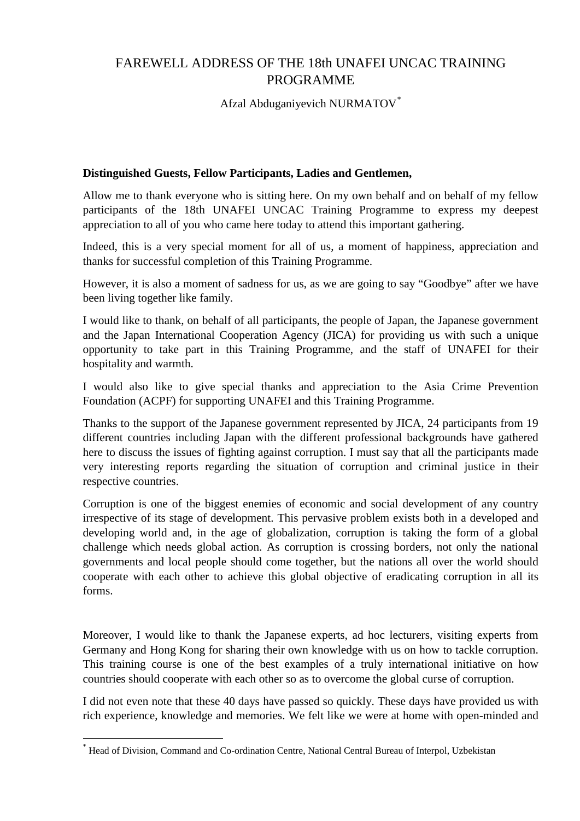## FAREWELL ADDRESS OF THE 18th UNAFEI UNCAC TRAINING PROGRAMME

Afzal Abduganiyevich NURMATOV[\\*](#page-0-0)

## **Distinguished Guests, Fellow Participants, Ladies and Gentlemen,**

Allow me to thank everyone who is sitting here. On my own behalf and on behalf of my fellow participants of the 18th UNAFEI UNCAC Training Programme to express my deepest appreciation to all of you who came here today to attend this important gathering.

Indeed, this is a very special moment for all of us, a moment of happiness, appreciation and thanks for successful completion of this Training Programme.

However, it is also a moment of sadness for us, as we are going to say "Goodbye" after we have been living together like family.

I would like to thank, on behalf of all participants, the people of Japan, the Japanese government and the Japan International Cooperation Agency (JICA) for providing us with such a unique opportunity to take part in this Training Programme, and the staff of UNAFEI for their hospitality and warmth.

I would also like to give special thanks and appreciation to the Asia Crime Prevention Foundation (ACPF) for supporting UNAFEI and this Training Programme.

Thanks to the support of the Japanese government represented by JICA, 24 participants from 19 different countries including Japan with the different professional backgrounds have gathered here to discuss the issues of fighting against corruption. I must say that all the participants made very interesting reports regarding the situation of corruption and criminal justice in their respective countries.

Corruption is one of the biggest enemies of economic and social development of any country irrespective of its stage of development. This pervasive problem exists both in a developed and developing world and, in the age of globalization, corruption is taking the form of a global challenge which needs global action. As corruption is crossing borders, not only the national governments and local people should come together, but the nations all over the world should cooperate with each other to achieve this global objective of eradicating corruption in all its forms.

Moreover, I would like to thank the Japanese experts, ad hoc lecturers, visiting experts from Germany and Hong Kong for sharing their own knowledge with us on how to tackle corruption. This training course is one of the best examples of a truly international initiative on how countries should cooperate with each other so as to overcome the global curse of corruption.

I did not even note that these 40 days have passed so quickly. These days have provided us with rich experience, knowledge and memories. We felt like we were at home with open-minded and

<span id="page-0-0"></span> <sup>\*</sup> Head of Division, Command and Co-ordination Centre, National Central Bureau of Interpol, Uzbekistan